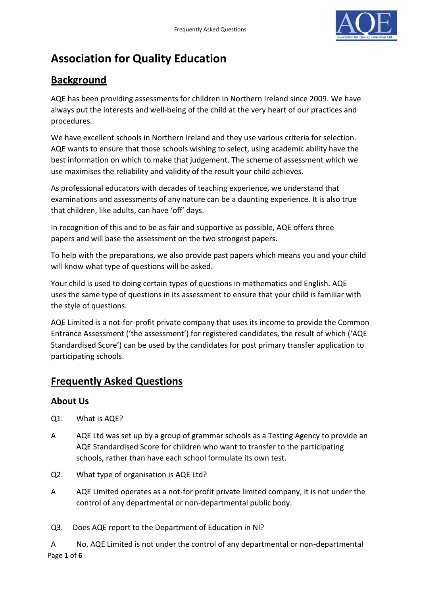

# **Association for Quality Education**

## **Background**

AQE has been providing assessments for children in Northern Ireland since 2009. We have always put the interests and well-being of the child at the very heart of our practices and procedures.

We have excellent schools in Northern Ireland and they use various criteria for selection. AQE wants to ensure that those schools wishing to select, using academic ability have the best information on which to make that judgement. The scheme of assessment which we use maximises the reliability and validity of the result your child achieves.

As professional educators with decades of teaching experience, we understand that examinations and assessments of any nature can be a daunting experience. It is also true that children, like adults, can have 'off' days.

In recognition of this and to be as fair and supportive as possible, AQE offers three papers and will base the assessment on the two strongest papers.

To help with the preparations, we also provide past papers which means you and your child will know what type of questions will be asked.

Your child is used to doing certain types of questions in mathematics and English. AQE uses the same type of questions in its assessment to ensure that your child is familiar with the style of questions.

AQE Limited is a not-for-profit private company that uses its income to provide the Common Entrance Assessment ('the assessment') for registered candidates, the result of which ('AQE Standardised Score') can be used by the candidates for post primary transfer application to participating schools.

# **Frequently Asked Questions**

### **About Us**

- Q1. What is AQE?
- A AQE Ltd was set up by a group of grammar schools as a Testing Agency to provide an AQE Standardised Score for children who want to transfer to the participating schools, rather than have each school formulate its own test.
- Q2. What type of organisation is AQE Ltd?
- A AQE Limited operates as a not-for profit private limited company, it is not under the control of any departmental or non-departmental public body.
- Q3. Does AQE report to the Department of Education in NI?

Page **1** of **6** A No, AQE Limited is not under the control of any departmental or non-departmental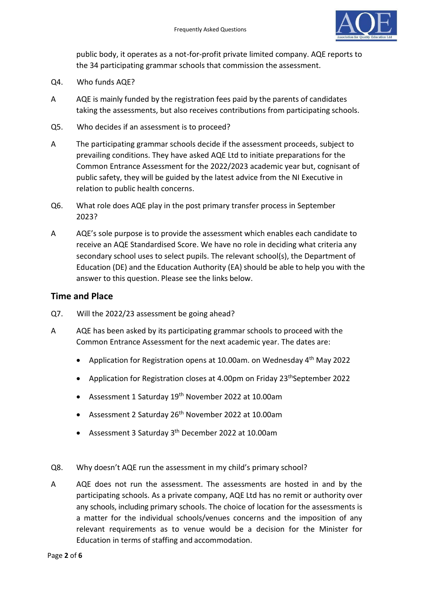

public body, it operates as a not-for-profit private limited company. AQE reports to the 34 participating grammar schools that commission the assessment.

- Q4. Who funds AQE?
- A AQE is mainly funded by the registration fees paid by the parents of candidates taking the assessments, but also receives contributions from participating schools.
- Q5. Who decides if an assessment is to proceed?
- A The participating grammar schools decide if the assessment proceeds, subject to prevailing conditions. They have asked AQE Ltd to initiate preparations for the Common Entrance Assessment for the 2022/2023 academic year but, cognisant of public safety, they will be guided by the latest advice from the NI Executive in relation to public health concerns.
- Q6. What role does AQE play in the post primary transfer process in September 2023?
- A AQE's sole purpose is to provide the assessment which enables each candidate to receive an AQE Standardised Score. We have no role in deciding what criteria any secondary school uses to select pupils. The relevant school(s), the Department of Education (DE) and the Education Authority (EA) should be able to help you with the answer to this question. Please see the links below.

#### **Time and Place**

- Q7. Will the 2022/23 assessment be going ahead?
- A AQE has been asked by its participating grammar schools to proceed with the Common Entrance Assessment for the next academic year. The dates are:
	- Application for Registration opens at 10.00am. on Wednesday 4<sup>th</sup> May 2022
	- Application for Registration closes at 4.00pm on Friday 23<sup>th</sup>September 2022
	- Assessment 1 Saturday 19<sup>th</sup> November 2022 at 10.00am
	- Assessment 2 Saturday 26 th November 2022 at 10.00am
	- Assessment 3 Saturday 3<sup>th</sup> December 2022 at 10.00am
- Q8. Why doesn't AQE run the assessment in my child's primary school?
- A AQE does not run the assessment. The assessments are hosted in and by the participating schools. As a private company, AQE Ltd has no remit or authority over any schools, including primary schools. The choice of location for the assessments is a matter for the individual schools/venues concerns and the imposition of any relevant requirements as to venue would be a decision for the Minister for Education in terms of staffing and accommodation.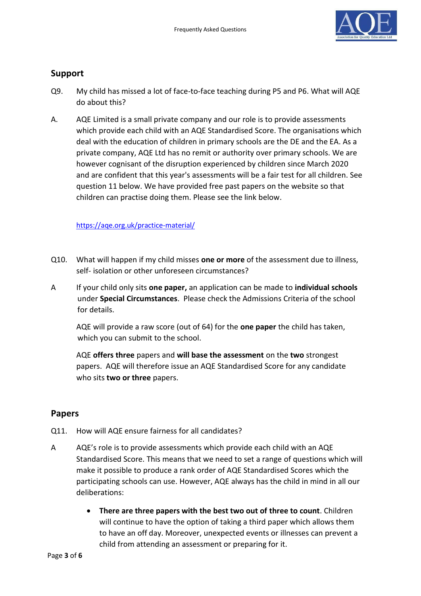

#### **Support**

- Q9. My child has missed a lot of face-to-face teaching during P5 and P6. What will AQE do about this?
- A. AQE Limited is a small private company and our role is to provide assessments which provide each child with an AQE Standardised Score. The organisations which deal with the education of children in primary schools are the DE and the EA. As a private company, AQE Ltd has no remit or authority over primary schools. We are however cognisant of the disruption experienced by children since March 2020 and are confident that this year's assessments will be a fair test for all children. See question 11 below. We have provided free past papers on the website so that children can practise doing them. Please see the link below.

#### <https://aqe.org.uk/practice-material/>

- Q10. What will happen if my child misses **one or more** of the assessment due to illness, self- isolation or other unforeseen circumstances?
- A If your child only sits **one paper,** an application can be made to **individual schools**  under **Special Circumstances**. Please check the Admissions Criteria of the school for details.

AQE will provide a raw score (out of 64) for the **one paper** the child has taken, which you can submit to the school.

AQE **offers three** papers and **will base the assessment** on the **two** strongest papers. AQE will therefore issue an AQE Standardised Score for any candidate who sits **two or three** papers.

#### **Papers**

- Q11. How will AQE ensure fairness for all candidates?
- A AQE's role is to provide assessments which provide each child with an AQE Standardised Score. This means that we need to set a range of questions which will make it possible to produce a rank order of AQE Standardised Scores which the participating schools can use. However, AQE always has the child in mind in all our deliberations:
	- **There are three papers with the best two out of three to count**. Children will continue to have the option of taking a third paper which allows them to have an off day. Moreover, unexpected events or illnesses can prevent a child from attending an assessment or preparing for it.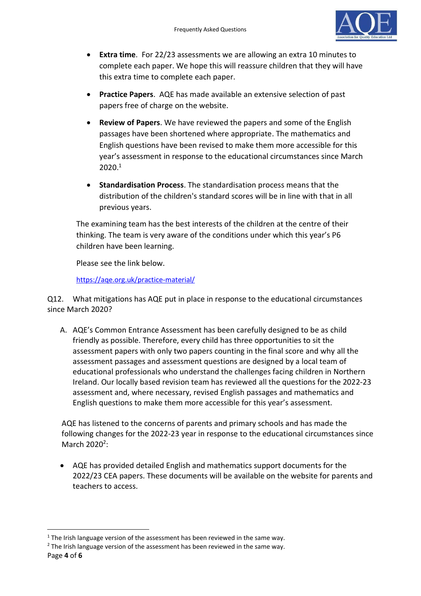

- **Extra time**. For 22/23 assessments we are allowing an extra 10 minutes to complete each paper. We hope this will reassure children that they will have this extra time to complete each paper.
- **Practice Papers**. AQE has made available an extensive selection of past papers free of charge on the website.
- **Review of Papers**. We have reviewed the papers and some of the English passages have been shortened where appropriate. The mathematics and English questions have been revised to make them more accessible for this year's assessment in response to the educational circumstances since March 2020. 1
- **Standardisation Process**. The standardisation process means that the distribution of the children's standard scores will be in line with that in all previous years.

The examining team has the best interests of the children at the centre of their thinking. The team is very aware of the conditions under which this year's P6 children have been learning.

Please see the link below.

<https://aqe.org.uk/practice-material/>

Q12. What mitigations has AQE put in place in response to the educational circumstances since March 2020?

A. AQE's Common Entrance Assessment has been carefully designed to be as child friendly as possible. Therefore, every child has three opportunities to sit the assessment papers with only two papers counting in the final score and why all the assessment passages and assessment questions are designed by a local team of educational professionals who understand the challenges facing children in Northern Ireland. Our locally based revision team has reviewed all the questions for the 2022-23 assessment and, where necessary, revised English passages and mathematics and English questions to make them more accessible for this year's assessment.

AQE has listened to the concerns of parents and primary schools and has made the following changes for the 2022-23 year in response to the educational circumstances since March 2020<sup>2</sup>:

• AQE has provided detailed English and mathematics support documents for the 2022/23 CEA papers. These documents will be available on the website for parents and teachers to access.

 $1$  The Irish language version of the assessment has been reviewed in the same way.

Page **4** of **6**  $2$  The Irish language version of the assessment has been reviewed in the same way.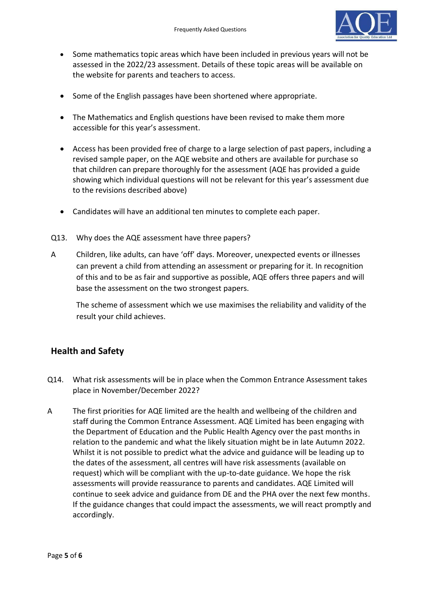

- Some mathematics topic areas which have been included in previous years will not be assessed in the 2022/23 assessment. Details of these topic areas will be available on the website for parents and teachers to access.
- Some of the English passages have been shortened where appropriate.
- The Mathematics and English questions have been revised to make them more accessible for this year's assessment.
- Access has been provided free of charge to a large selection of past papers, including a revised sample paper, on the AQE website and others are available for purchase so that children can prepare thoroughly for the assessment (AQE has provided a guide showing which individual questions will not be relevant for this year's assessment due to the revisions described above)
- Candidates will have an additional ten minutes to complete each paper.
- Q13. Why does the AQE assessment have three papers?
- A Children, like adults, can have 'off' days. Moreover, unexpected events or illnesses can prevent a child from attending an assessment or preparing for it. In recognition of this and to be as fair and supportive as possible, AQE offers three papers and will base the assessment on the two strongest papers.

The scheme of assessment which we use maximises the reliability and validity of the result your child achieves.

#### **Health and Safety**

- Q14. What risk assessments will be in place when the Common Entrance Assessment takes place in November/December 2022?
- A The first priorities for AQE limited are the health and wellbeing of the children and staff during the Common Entrance Assessment. AQE Limited has been engaging with the Department of Education and the Public Health Agency over the past months in relation to the pandemic and what the likely situation might be in late Autumn 2022. Whilst it is not possible to predict what the advice and guidance will be leading up to the dates of the assessment, all centres will have risk assessments (available on request) which will be compliant with the up-to-date guidance. We hope the risk assessments will provide reassurance to parents and candidates. AQE Limited will continue to seek advice and guidance from DE and the PHA over the next few months. If the guidance changes that could impact the assessments, we will react promptly and accordingly.